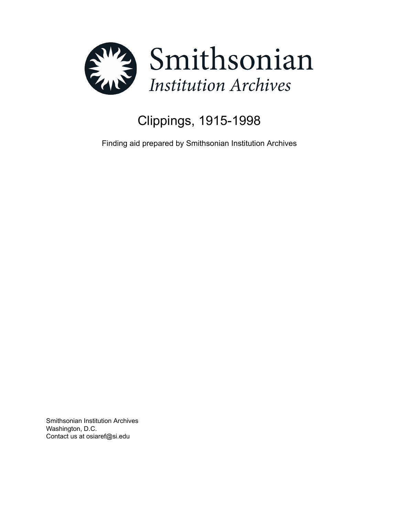

# Clippings, 1915-1998

Finding aid prepared by Smithsonian Institution Archives

Smithsonian Institution Archives Washington, D.C. Contact us at osiaref@si.edu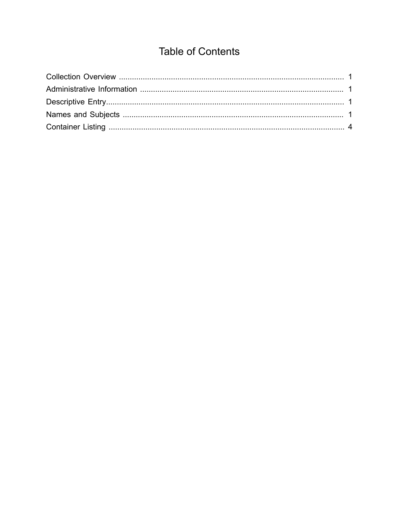## **Table of Contents**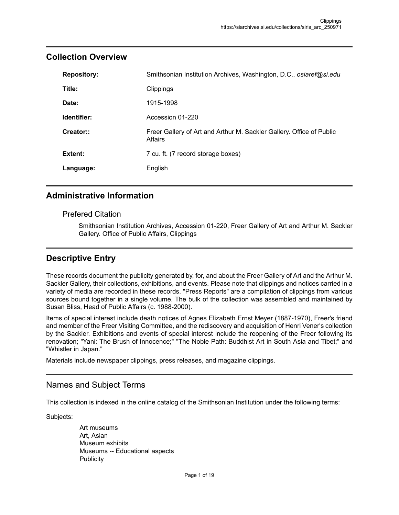| <b>Repository:</b> | Smithsonian Institution Archives, Washington, D.C., osiaref@si.edu              |
|--------------------|---------------------------------------------------------------------------------|
| Title:             | Clippings                                                                       |
| Date:              | 1915-1998                                                                       |
| Identifier:        | Accession 01-220                                                                |
| Creator::          | Freer Gallery of Art and Arthur M. Sackler Gallery. Office of Public<br>Affairs |
| Extent:            | 7 cu. ft. (7 record storage boxes)                                              |
| Language:          | English                                                                         |

### <span id="page-2-0"></span>**Collection Overview**

### <span id="page-2-1"></span>**Administrative Information**

#### Prefered Citation

Smithsonian Institution Archives, Accession 01-220, Freer Gallery of Art and Arthur M. Sackler Gallery. Office of Public Affairs, Clippings

## <span id="page-2-2"></span>**Descriptive Entry**

These records document the publicity generated by, for, and about the Freer Gallery of Art and the Arthur M. Sackler Gallery, their collections, exhibitions, and events. Please note that clippings and notices carried in a variety of media are recorded in these records. "Press Reports" are a compilation of clippings from various sources bound together in a single volume. The bulk of the collection was assembled and maintained by Susan Bliss, Head of Public Affairs (c. 1988-2000).

Items of special interest include death notices of Agnes Elizabeth Ernst Meyer (1887-1970), Freer's friend and member of the Freer Visiting Committee, and the rediscovery and acquisition of Henri Vener's collection by the Sackler. Exhibitions and events of special interest include the reopening of the Freer following its renovation; "Yani: The Brush of Innocence;" "The Noble Path: Buddhist Art in South Asia and Tibet;" and "Whistler in Japan."

Materials include newspaper clippings, press releases, and magazine clippings.

#### <span id="page-2-3"></span>Names and Subject Terms

This collection is indexed in the online catalog of the Smithsonian Institution under the following terms:

Subjects:

Art museums Art, Asian Museum exhibits Museums -- Educational aspects **Publicity**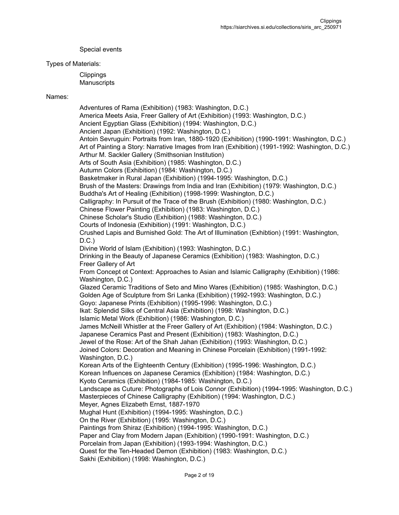Special events

#### Types of Materials:

**Clippings Manuscripts** 

#### Names:

Adventures of Rama (Exhibition) (1983: Washington, D.C.) America Meets Asia, Freer Gallery of Art (Exhibition) (1993: Washington, D.C.) Ancient Egyptian Glass (Exhibition) (1994: Washington, D.C.) Ancient Japan (Exhibition) (1992: Washington, D.C.) Antoin Sevruguin: Portraits from Iran, 1880-1920 (Exhibition) (1990-1991: Washington, D.C.) Art of Painting a Story: Narrative Images from Iran (Exhibition) (1991-1992: Washington, D.C.) Arthur M. Sackler Gallery (Smithsonian Institution) Arts of South Asia (Exhibition) (1985: Washington, D.C.) Autumn Colors (Exhibition) (1984: Washington, D.C.) Basketmaker in Rural Japan (Exhibition) (1994-1995: Washington, D.C.) Brush of the Masters: Drawings from India and Iran (Exhibition) (1979: Washington, D.C.) Buddha's Art of Healing (Exhibition) (1998-1999: Washington, D.C.) Calligraphy: In Pursuit of the Trace of the Brush (Exhibition) (1980: Washington, D.C.) Chinese Flower Painting (Exhibition) (1983: Washington, D.C.) Chinese Scholar's Studio (Exhibition) (1988: Washington, D.C.) Courts of Indonesia (Exhibition) (1991: Washington, D.C.) Crushed Lapis and Burnished Gold: The Art of Illumination (Exhibtion) (1991: Washington,  $D.C.$ ) Divine World of Islam (Exhibition) (1993: Washington, D.C.) Drinking in the Beauty of Japanese Ceramics (Exhibition) (1983: Washington, D.C.) Freer Gallery of Art From Concept ot Context: Approaches to Asian and Islamic Calligraphy (Exhibition) (1986: Washington, D.C.) Glazed Ceramic Traditions of Seto and Mino Wares (Exhibition) (1985: Washington, D.C.) Golden Age of Sculpture from Sri Lanka (Exhibition) (1992-1993: Washington, D.C.) Goyo: Japanese Prints (Exhibition) (1995-1996: Washington, D.C.) Ikat: Splendid Silks of Central Asia (Exhibition) (1998: Washington, D.C.) Islamic Metal Work (Exhibition) (1986: Washington, D.C.) James McNeill Whistler at the Freer Gallery of Art (Exhibition) (1984: Washington, D.C.) Japanese Ceramics Past and Present (Exhibition) (1983: Washington, D.C.) Jewel of the Rose: Art of the Shah Jahan (Exhibition) (1993: Washington, D.C.) Joined Colors: Decoration and Meaning in Chinese Porcelain (Exhibition) (1991-1992: Washington, D.C.) Korean Arts of the Eighteenth Century (Exhibition) (1995-1996: Washington, D.C.) Korean Influences on Japanese Ceramics (Exhibition) (1984: Washington, D.C.) Kyoto Ceramics (Exhibition) (1984-1985: Washington, D.C.) Landscape as Cuture: Photographs of Lois Connor (Exhibition) (1994-1995: Washington, D.C.) Masterpieces of Chinese Calligraphy (Exhibition) (1994: Washington, D.C.) Meyer, Agnes Elizabeth Ernst, 1887-1970 Mughal Hunt (Exhibition) (1994-1995: Washington, D.C.) On the River (Exhibition) (1995: Washington, D.C.) Paintings from Shiraz (Exhibition) (1994-1995: Washington, D.C.) Paper and Clay from Modern Japan (Exhibition) (1990-1991: Washington, D.C.) Porcelain from Japan (Exhibition) (1993-1994: Washington, D.C.) Quest for the Ten-Headed Demon (Exhibition) (1983: Washington, D.C.) Sakhi (Exhibition) (1998: Washington, D.C.)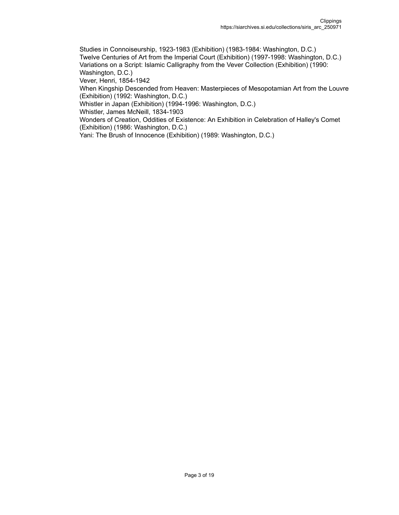Studies in Connoiseurship, 1923-1983 (Exhibition) (1983-1984: Washington, D.C.) Twelve Centuries of Art from the Imperial Court (Exhibition) (1997-1998: Washington, D.C.) Variations on a Script: Islamic Calligraphy from the Vever Collection (Exhibition) (1990: Washington, D.C.)

Vever, Henri, 1854-1942

When Kingship Descended from Heaven: Masterpieces of Mesopotamian Art from the Louvre (Exhibition) (1992: Washington, D.C.)

Whistler in Japan (Exhibition) (1994-1996: Washington, D.C.)

Whistler, James McNeill, 1834-1903

Wonders of Creation, Oddities of Existence: An Exhibition in Celebration of Halley's Comet (Exhibition) (1986: Washington, D.C.)

Yani: The Brush of Innocence (Exhibition) (1989: Washington, D.C.)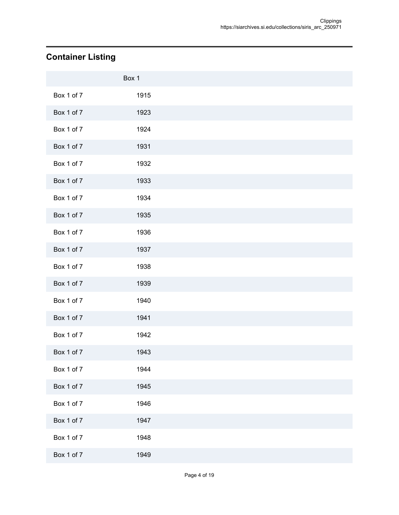## <span id="page-5-0"></span>**Container Listing**

|            | Box 1 |  |
|------------|-------|--|
| Box 1 of 7 | 1915  |  |
| Box 1 of 7 | 1923  |  |
| Box 1 of 7 | 1924  |  |
| Box 1 of 7 | 1931  |  |
| Box 1 of 7 | 1932  |  |
| Box 1 of 7 | 1933  |  |
| Box 1 of 7 | 1934  |  |
| Box 1 of 7 | 1935  |  |
| Box 1 of 7 | 1936  |  |
| Box 1 of 7 | 1937  |  |
| Box 1 of 7 | 1938  |  |
| Box 1 of 7 | 1939  |  |
| Box 1 of 7 | 1940  |  |
| Box 1 of 7 | 1941  |  |
| Box 1 of 7 | 1942  |  |
| Box 1 of 7 | 1943  |  |
| Box 1 of 7 | 1944  |  |
| Box 1 of 7 | 1945  |  |
| Box 1 of 7 | 1946  |  |
| Box 1 of 7 | 1947  |  |
| Box 1 of 7 | 1948  |  |
| Box 1 of 7 | 1949  |  |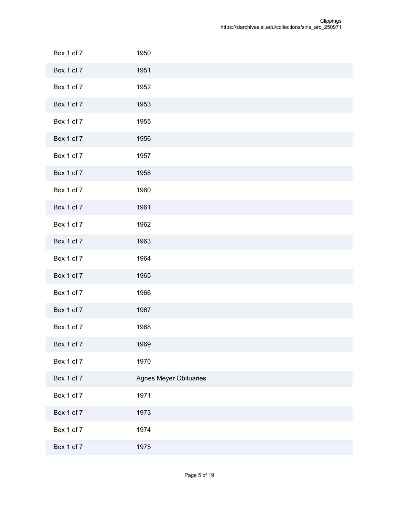| Box 1 of 7 | 1950                          |
|------------|-------------------------------|
| Box 1 of 7 | 1951                          |
| Box 1 of 7 | 1952                          |
| Box 1 of 7 | 1953                          |
| Box 1 of 7 | 1955                          |
| Box 1 of 7 | 1956                          |
| Box 1 of 7 | 1957                          |
| Box 1 of 7 | 1958                          |
| Box 1 of 7 | 1960                          |
| Box 1 of 7 | 1961                          |
| Box 1 of 7 | 1962                          |
| Box 1 of 7 | 1963                          |
| Box 1 of 7 | 1964                          |
| Box 1 of 7 | 1965                          |
| Box 1 of 7 | 1966                          |
| Box 1 of 7 | 1967                          |
| Box 1 of 7 | 1968                          |
| Box 1 of 7 | 1969                          |
| Box 1 of 7 | 1970                          |
| Box 1 of 7 | <b>Agnes Meyer Obituaries</b> |
| Box 1 of 7 | 1971                          |
| Box 1 of 7 | 1973                          |
| Box 1 of 7 | 1974                          |
| Box 1 of 7 | 1975                          |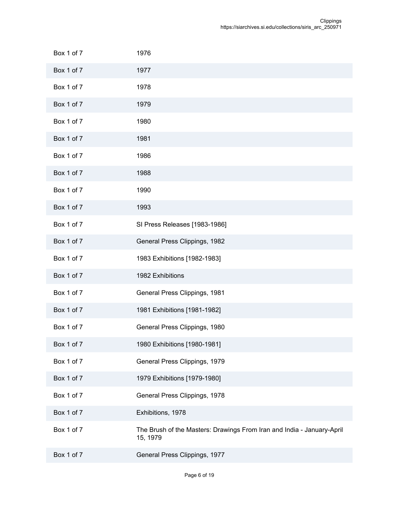| Box 1 of 7 | 1976                                                                               |
|------------|------------------------------------------------------------------------------------|
| Box 1 of 7 | 1977                                                                               |
| Box 1 of 7 | 1978                                                                               |
| Box 1 of 7 | 1979                                                                               |
| Box 1 of 7 | 1980                                                                               |
| Box 1 of 7 | 1981                                                                               |
| Box 1 of 7 | 1986                                                                               |
| Box 1 of 7 | 1988                                                                               |
| Box 1 of 7 | 1990                                                                               |
| Box 1 of 7 | 1993                                                                               |
| Box 1 of 7 | SI Press Releases [1983-1986]                                                      |
| Box 1 of 7 | General Press Clippings, 1982                                                      |
| Box 1 of 7 | 1983 Exhibitions [1982-1983]                                                       |
| Box 1 of 7 | 1982 Exhibitions                                                                   |
| Box 1 of 7 | General Press Clippings, 1981                                                      |
| Box 1 of 7 | 1981 Exhibitions [1981-1982]                                                       |
| Box 1 of 7 | General Press Clippings, 1980                                                      |
| Box 1 of 7 | 1980 Exhibitions [1980-1981]                                                       |
| Box 1 of 7 | General Press Clippings, 1979                                                      |
| Box 1 of 7 | 1979 Exhibitions [1979-1980]                                                       |
| Box 1 of 7 | General Press Clippings, 1978                                                      |
| Box 1 of 7 | Exhibitions, 1978                                                                  |
| Box 1 of 7 | The Brush of the Masters: Drawings From Iran and India - January-April<br>15, 1979 |
| Box 1 of 7 | General Press Clippings, 1977                                                      |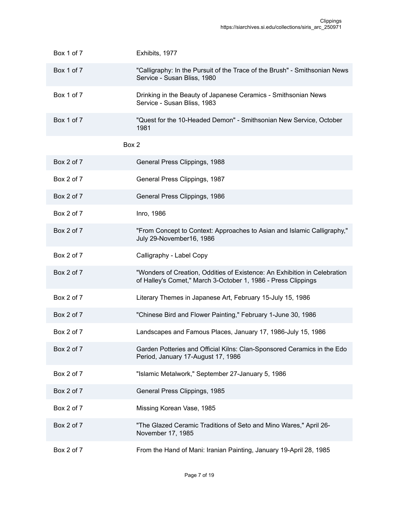| Box 1 of 7 | Exhibits, 1977                                                                                                                             |
|------------|--------------------------------------------------------------------------------------------------------------------------------------------|
| Box 1 of 7 | "Calligraphy: In the Pursuit of the Trace of the Brush" - Smithsonian News<br>Service - Susan Bliss, 1980                                  |
| Box 1 of 7 | Drinking in the Beauty of Japanese Ceramics - Smithsonian News<br>Service - Susan Bliss, 1983                                              |
| Box 1 of 7 | "Quest for the 10-Headed Demon" - Smithsonian New Service, October<br>1981                                                                 |
|            | Box 2                                                                                                                                      |
| Box 2 of 7 | General Press Clippings, 1988                                                                                                              |
| Box 2 of 7 | General Press Clippings, 1987                                                                                                              |
| Box 2 of 7 | General Press Clippings, 1986                                                                                                              |
| Box 2 of 7 | Inro, 1986                                                                                                                                 |
| Box 2 of 7 | "From Concept to Context: Approaches to Asian and Islamic Calligraphy,"<br>July 29-November16, 1986                                        |
| Box 2 of 7 | Calligraphy - Label Copy                                                                                                                   |
| Box 2 of 7 | "Wonders of Creation, Oddities of Existence: An Exhibition in Celebration<br>of Halley's Comet," March 3-October 1, 1986 - Press Clippings |
| Box 2 of 7 | Literary Themes in Japanese Art, February 15-July 15, 1986                                                                                 |
| Box 2 of 7 | "Chinese Bird and Flower Painting," February 1-June 30, 1986                                                                               |
| Box 2 of 7 | Landscapes and Famous Places, January 17, 1986-July 15, 1986                                                                               |
| Box 2 of 7 | Garden Potteries and Official Kilns: Clan-Sponsored Ceramics in the Edo<br>Period, January 17-August 17, 1986                              |
| Box 2 of 7 | "Islamic Metalwork," September 27-January 5, 1986                                                                                          |
| Box 2 of 7 | General Press Clippings, 1985                                                                                                              |
| Box 2 of 7 | Missing Korean Vase, 1985                                                                                                                  |
| Box 2 of 7 | "The Glazed Ceramic Traditions of Seto and Mino Wares," April 26-<br>November 17, 1985                                                     |
| Box 2 of 7 | From the Hand of Mani: Iranian Painting, January 19-April 28, 1985                                                                         |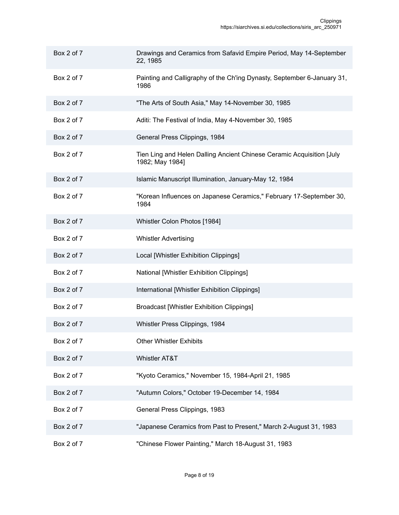| Box 2 of 7 | Drawings and Ceramics from Safavid Empire Period, May 14-September<br>22, 1985           |
|------------|------------------------------------------------------------------------------------------|
| Box 2 of 7 | Painting and Calligraphy of the Ch'ing Dynasty, September 6-January 31,<br>1986          |
| Box 2 of 7 | "The Arts of South Asia," May 14-November 30, 1985                                       |
| Box 2 of 7 | Aditi: The Festival of India, May 4-November 30, 1985                                    |
| Box 2 of 7 | General Press Clippings, 1984                                                            |
| Box 2 of 7 | Tien Ling and Helen Dalling Ancient Chinese Ceramic Acquisition [July<br>1982; May 1984] |
| Box 2 of 7 | Islamic Manuscript Illumination, January-May 12, 1984                                    |
| Box 2 of 7 | "Korean Influences on Japanese Ceramics," February 17-September 30,<br>1984              |
| Box 2 of 7 | Whistler Colon Photos [1984]                                                             |
| Box 2 of 7 | <b>Whistler Advertising</b>                                                              |
| Box 2 of 7 | Local [Whistler Exhibition Clippings]                                                    |
| Box 2 of 7 | National [Whistler Exhibition Clippings]                                                 |
| Box 2 of 7 | International [Whistler Exhibition Clippings]                                            |
| Box 2 of 7 | <b>Broadcast [Whistler Exhibition Clippings]</b>                                         |
| Box 2 of 7 | Whistler Press Clippings, 1984                                                           |
| Box 2 of 7 | <b>Other Whistler Exhibits</b>                                                           |
| Box 2 of 7 | Whistler AT&T                                                                            |
| Box 2 of 7 | "Kyoto Ceramics," November 15, 1984-April 21, 1985                                       |
| Box 2 of 7 | "Autumn Colors," October 19-December 14, 1984                                            |
| Box 2 of 7 | General Press Clippings, 1983                                                            |
| Box 2 of 7 | "Japanese Ceramics from Past to Present," March 2-August 31, 1983                        |
| Box 2 of 7 | "Chinese Flower Painting," March 18-August 31, 1983                                      |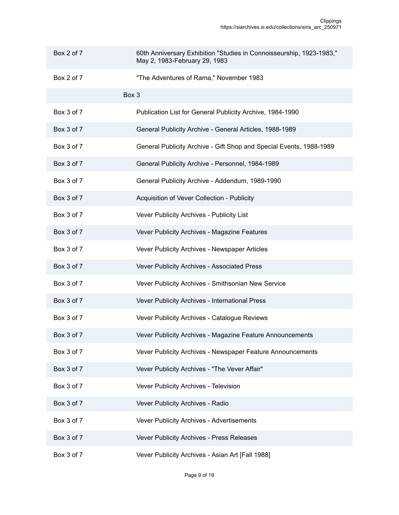| Box 2 of 7 | 60th Anniversary Exhibition "Studies in Connoisseurship, 1923-1983,"<br>May 2, 1983-February 29, 1983 |
|------------|-------------------------------------------------------------------------------------------------------|
| Box 2 of 7 | "The Adventures of Rama," November 1983                                                               |
|            | Box 3                                                                                                 |
| Box 3 of 7 | Publication List for General Publicity Archive, 1984-1990                                             |
| Box 3 of 7 | General Publicity Archive - General Articles, 1988-1989                                               |
| Box 3 of 7 | General Publicity Archive - Gift Shop and Special Events, 1988-1989                                   |
| Box 3 of 7 | General Publicity Archive - Personnel, 1984-1989                                                      |
| Box 3 of 7 | General Publicity Archive - Addendum, 1989-1990                                                       |
| Box 3 of 7 | Acquisition of Vever Collection - Publicity                                                           |
| Box 3 of 7 | Vever Publicity Archives - Publicity List                                                             |
| Box 3 of 7 | Vever Publicity Archives - Magazine Features                                                          |
| Box 3 of 7 | Vever Publicity Archives - Newspaper Articles                                                         |
| Box 3 of 7 | Vever Publicity Archives - Associated Press                                                           |
| Box 3 of 7 | Vever Publicity Archives - Smithsonian New Service                                                    |
| Box 3 of 7 | Vever Publicity Archives - International Press                                                        |
| Box 3 of 7 | Vever Publicity Archives - Catalogue Reviews                                                          |
| Box 3 of 7 | Vever Publicity Archives - Magazine Feature Announcements                                             |
| Box 3 of 7 | Vever Publicity Archives - Newspaper Feature Announcements                                            |
| Box 3 of 7 | Vever Publicity Archives - "The Vever Affair"                                                         |
| Box 3 of 7 | Vever Publicity Archives - Television                                                                 |
| Box 3 of 7 | Vever Publicity Archives - Radio                                                                      |
| Box 3 of 7 | Vever Publicity Archives - Advertisements                                                             |
| Box 3 of 7 | Vever Publicity Archives - Press Releases                                                             |
| Box 3 of 7 | Vever Publicity Archives - Asian Art [Fall 1988]                                                      |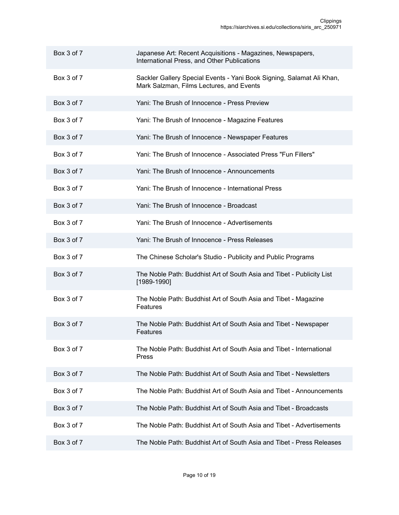| Box 3 of 7 | Japanese Art: Recent Acquisitions - Magazines, Newspapers,<br>International Press, and Other Publications         |
|------------|-------------------------------------------------------------------------------------------------------------------|
| Box 3 of 7 | Sackler Gallery Special Events - Yani Book Signing, Salamat Ali Khan,<br>Mark Salzman, Films Lectures, and Events |
| Box 3 of 7 | Yani: The Brush of Innocence - Press Preview                                                                      |
| Box 3 of 7 | Yani: The Brush of Innocence - Magazine Features                                                                  |
| Box 3 of 7 | Yani: The Brush of Innocence - Newspaper Features                                                                 |
| Box 3 of 7 | Yani: The Brush of Innocence - Associated Press "Fun Fillers"                                                     |
| Box 3 of 7 | Yani: The Brush of Innocence - Announcements                                                                      |
| Box 3 of 7 | Yani: The Brush of Innocence - International Press                                                                |
| Box 3 of 7 | Yani: The Brush of Innocence - Broadcast                                                                          |
| Box 3 of 7 | Yani: The Brush of Innocence - Advertisements                                                                     |
| Box 3 of 7 | Yani: The Brush of Innocence - Press Releases                                                                     |
| Box 3 of 7 | The Chinese Scholar's Studio - Publicity and Public Programs                                                      |
| Box 3 of 7 | The Noble Path: Buddhist Art of South Asia and Tibet - Publicity List<br>$[1989-1990]$                            |
| Box 3 of 7 | The Noble Path: Buddhist Art of South Asia and Tibet - Magazine<br><b>Features</b>                                |
| Box 3 of 7 | The Noble Path: Buddhist Art of South Asia and Tibet - Newspaper<br>Features                                      |
| Box 3 of 7 | The Noble Path: Buddhist Art of South Asia and Tibet - International<br>Press                                     |
| Box 3 of 7 | The Noble Path: Buddhist Art of South Asia and Tibet - Newsletters                                                |
| Box 3 of 7 | The Noble Path: Buddhist Art of South Asia and Tibet - Announcements                                              |
| Box 3 of 7 | The Noble Path: Buddhist Art of South Asia and Tibet - Broadcasts                                                 |
| Box 3 of 7 | The Noble Path: Buddhist Art of South Asia and Tibet - Advertisements                                             |
| Box 3 of 7 | The Noble Path: Buddhist Art of South Asia and Tibet - Press Releases                                             |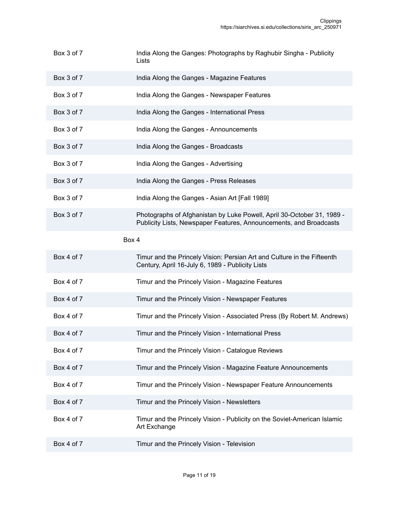- Box 3 of 7 India Along the Ganges: Photographs by Raghubir Singha Publicity **Lists**
- Box 3 of 7 **India Along the Ganges Magazine Features**
- Box 3 of 7 **India Along the Ganges Newspaper Features**
- Box 3 of 7 India Along the Ganges International Press
- Box 3 of 7 India Along the Ganges Announcements
- Box 3 of 7 India Along the Ganges Broadcasts
- Box 3 of 7 India Along the Ganges Advertising
- Box 3 of 7 India Along the Ganges Press Releases
- Box 3 of 7 India Along the Ganges Asian Art [Fall 1989]
- Box 3 of 7 Photographs of Afghanistan by Luke Powell, April 30-October 31, 1989 -Publicity Lists, Newspaper Features, Announcements, and Broadcasts

#### Box 4

- Box 4 of 7 Timur and the Princely Vision: Persian Art and Culture in the Fifteenth Century, April 16-July 6, 1989 - Publicity Lists
- Box 4 of 7 Timur and the Princely Vision Magazine Features
- Box 4 of 7 Timur and the Princely Vision Newspaper Features
- Box 4 of 7 Timur and the Princely Vision Associated Press (By Robert M. Andrews)
- Box 4 of 7 Timur and the Princely Vision International Press
- Box 4 of 7 Timur and the Princely Vision Catalogue Reviews
- Box 4 of 7 Timur and the Princely Vision Magazine Feature Announcements
- Box 4 of 7 Timur and the Princely Vision Newspaper Feature Announcements
- Box 4 of 7 Timur and the Princely Vision Newsletters
- Box 4 of 7 Timur and the Princely Vision Publicity on the Soviet-American Islamic Art Exchange
- Box 4 of 7 Timur and the Princely Vision Television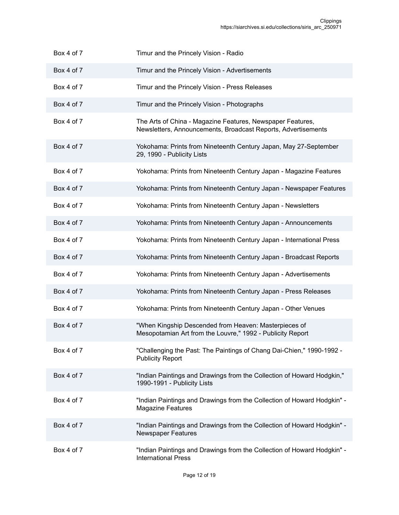| Box 4 of 7 | Timur and the Princely Vision - Radio                                                                                       |
|------------|-----------------------------------------------------------------------------------------------------------------------------|
| Box 4 of 7 | Timur and the Princely Vision - Advertisements                                                                              |
| Box 4 of 7 | Timur and the Princely Vision - Press Releases                                                                              |
| Box 4 of 7 | Timur and the Princely Vision - Photographs                                                                                 |
| Box 4 of 7 | The Arts of China - Magazine Features, Newspaper Features,<br>Newsletters, Announcements, Broadcast Reports, Advertisements |
| Box 4 of 7 | Yokohama: Prints from Nineteenth Century Japan, May 27-September<br>29, 1990 - Publicity Lists                              |
| Box 4 of 7 | Yokohama: Prints from Nineteenth Century Japan - Magazine Features                                                          |
| Box 4 of 7 | Yokohama: Prints from Nineteenth Century Japan - Newspaper Features                                                         |
| Box 4 of 7 | Yokohama: Prints from Nineteenth Century Japan - Newsletters                                                                |
| Box 4 of 7 | Yokohama: Prints from Nineteenth Century Japan - Announcements                                                              |
| Box 4 of 7 | Yokohama: Prints from Nineteenth Century Japan - International Press                                                        |
| Box 4 of 7 | Yokohama: Prints from Nineteenth Century Japan - Broadcast Reports                                                          |
| Box 4 of 7 | Yokohama: Prints from Nineteenth Century Japan - Advertisements                                                             |
| Box 4 of 7 | Yokohama: Prints from Nineteenth Century Japan - Press Releases                                                             |
| Box 4 of 7 | Yokohama: Prints from Nineteenth Century Japan - Other Venues                                                               |
| Box 4 of 7 | "When Kingship Descended from Heaven: Masterpieces of<br>Mesopotamian Art from the Louvre," 1992 - Publicity Report         |
| Box 4 of 7 | "Challenging the Past: The Paintings of Chang Dai-Chien," 1990-1992 -<br><b>Publicity Report</b>                            |
| Box 4 of 7 | "Indian Paintings and Drawings from the Collection of Howard Hodgkin,"<br>1990-1991 - Publicity Lists                       |
| Box 4 of 7 | "Indian Paintings and Drawings from the Collection of Howard Hodgkin" -<br><b>Magazine Features</b>                         |
| Box 4 of 7 | "Indian Paintings and Drawings from the Collection of Howard Hodgkin" -<br><b>Newspaper Features</b>                        |
| Box 4 of 7 | "Indian Paintings and Drawings from the Collection of Howard Hodgkin" -<br><b>International Press</b>                       |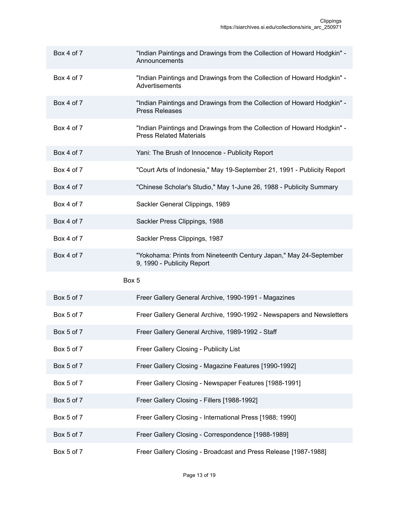| Box 4 of 7 | "Indian Paintings and Drawings from the Collection of Howard Hodgkin" -<br>Announcements                  |
|------------|-----------------------------------------------------------------------------------------------------------|
| Box 4 of 7 | "Indian Paintings and Drawings from the Collection of Howard Hodgkin" -<br>Advertisements                 |
| Box 4 of 7 | "Indian Paintings and Drawings from the Collection of Howard Hodgkin" -<br><b>Press Releases</b>          |
| Box 4 of 7 | "Indian Paintings and Drawings from the Collection of Howard Hodgkin" -<br><b>Press Related Materials</b> |
| Box 4 of 7 | Yani: The Brush of Innocence - Publicity Report                                                           |
| Box 4 of 7 | "Court Arts of Indonesia," May 19-September 21, 1991 - Publicity Report                                   |
| Box 4 of 7 | "Chinese Scholar's Studio," May 1-June 26, 1988 - Publicity Summary                                       |
| Box 4 of 7 | Sackler General Clippings, 1989                                                                           |
| Box 4 of 7 | Sackler Press Clippings, 1988                                                                             |
| Box 4 of 7 | Sackler Press Clippings, 1987                                                                             |
| Box 4 of 7 | "Yokohama: Prints from Nineteenth Century Japan," May 24-September<br>9, 1990 - Publicity Report          |
|            | Box 5                                                                                                     |
| Box 5 of 7 | Freer Gallery General Archive, 1990-1991 - Magazines                                                      |
| Box 5 of 7 | Freer Gallery General Archive, 1990-1992 - Newspapers and Newsletters                                     |
| Box 5 of 7 | Freer Gallery General Archive, 1989-1992 - Staff                                                          |
| Box 5 of 7 | Freer Gallery Closing - Publicity List                                                                    |
| Box 5 of 7 | Freer Gallery Closing - Magazine Features [1990-1992]                                                     |
| Box 5 of 7 | Freer Gallery Closing - Newspaper Features [1988-1991]                                                    |
| Box 5 of 7 | Freer Gallery Closing - Fillers [1988-1992]                                                               |
| Box 5 of 7 | Freer Gallery Closing - International Press [1988; 1990]                                                  |
| Box 5 of 7 | Freer Gallery Closing - Correspondence [1988-1989]                                                        |
| Box 5 of 7 | Freer Gallery Closing - Broadcast and Press Release [1987-1988]                                           |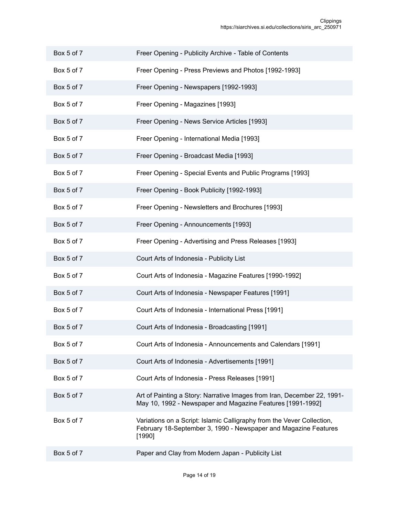- Box 5 of 7 Freer Opening Publicity Archive Table of Contents
- Box 5 of 7 **Freer Opening Press Previews and Photos** [1992-1993]
- Box 5 of 7 Freer Opening Newspapers [1992-1993]
- Box 5 of 7 Freer Opening Magazines [1993]
- Box 5 of 7 Freer Opening News Service Articles [1993]
- Box 5 of 7 Freer Opening International Media [1993]
- Box 5 of 7 Freer Opening Broadcast Media [1993]
- Box 5 of 7 Freer Opening Special Events and Public Programs [1993]
- Box 5 of 7 Freer Opening Book Publicity [1992-1993]
- Box 5 of 7 Freer Opening Newsletters and Brochures [1993]
- Box 5 of 7 Freer Opening Announcements [1993]
- Box 5 of 7 Freer Opening Advertising and Press Releases [1993]
- Box 5 of 7 Court Arts of Indonesia Publicity List
- Box 5 of 7 Court Arts of Indonesia Magazine Features [1990-1992]
- Box 5 of 7 Court Arts of Indonesia Newspaper Features [1991]
- Box 5 of 7 Court Arts of Indonesia International Press [1991]
- Box 5 of 7 Court Arts of Indonesia Broadcasting [1991]
- Box 5 of 7 Court Arts of Indonesia Announcements and Calendars [1991]
- Box 5 of 7 Court Arts of Indonesia Advertisements [1991]
- Box 5 of 7 Court Arts of Indonesia Press Releases [1991]
- Box 5 of 7 Art of Painting a Story: Narrative Images from Iran, December 22, 1991-May 10, 1992 - Newspaper and Magazine Features [1991-1992]
- Box 5 of 7 Variations on a Script: Islamic Calligraphy from the Vever Collection, February 18-September 3, 1990 - Newspaper and Magazine Features [1990]
- Box 5 of 7 Paper and Clay from Modern Japan Publicity List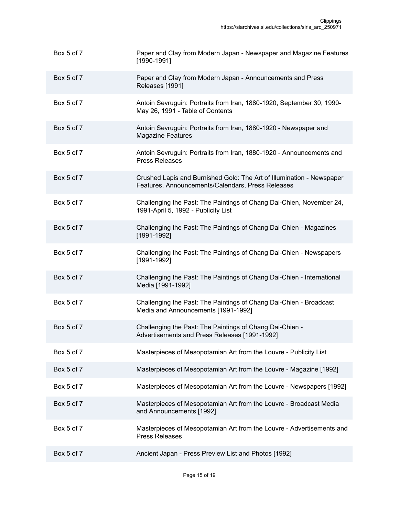| Box 5 of 7 | Paper and Clay from Modern Japan - Newspaper and Magazine Features<br>$[1990 - 1991]$                                      |
|------------|----------------------------------------------------------------------------------------------------------------------------|
| Box 5 of 7 | Paper and Clay from Modern Japan - Announcements and Press<br>Releases [1991]                                              |
| Box 5 of 7 | Antoin Sevruguin: Portraits from Iran, 1880-1920, September 30, 1990-<br>May 26, 1991 - Table of Contents                  |
| Box 5 of 7 | Antoin Sevruguin: Portraits from Iran, 1880-1920 - Newspaper and<br><b>Magazine Features</b>                               |
| Box 5 of 7 | Antoin Sevruguin: Portraits from Iran, 1880-1920 - Announcements and<br><b>Press Releases</b>                              |
| Box 5 of 7 | Crushed Lapis and Burnished Gold: The Art of Illumination - Newspaper<br>Features, Announcements/Calendars, Press Releases |
| Box 5 of 7 | Challenging the Past: The Paintings of Chang Dai-Chien, November 24,<br>1991-April 5, 1992 - Publicity List                |
| Box 5 of 7 | Challenging the Past: The Paintings of Chang Dai-Chien - Magazines<br>$[1991 - 1992]$                                      |
| Box 5 of 7 | Challenging the Past: The Paintings of Chang Dai-Chien - Newspapers<br>$[1991 - 1992]$                                     |
| Box 5 of 7 | Challenging the Past: The Paintings of Chang Dai-Chien - International<br>Media [1991-1992]                                |
| Box 5 of 7 | Challenging the Past: The Paintings of Chang Dai-Chien - Broadcast<br>Media and Announcements [1991-1992]                  |
| Box 5 of 7 | Challenging the Past: The Paintings of Chang Dai-Chien -<br>Advertisements and Press Releases [1991-1992]                  |
| Box 5 of 7 | Masterpieces of Mesopotamian Art from the Louvre - Publicity List                                                          |
| Box 5 of 7 | Masterpieces of Mesopotamian Art from the Louvre - Magazine [1992]                                                         |
| Box 5 of 7 | Masterpieces of Mesopotamian Art from the Louvre - Newspapers [1992]                                                       |
| Box 5 of 7 | Masterpieces of Mesopotamian Art from the Louvre - Broadcast Media<br>and Announcements [1992]                             |
| Box 5 of 7 | Masterpieces of Mesopotamian Art from the Louvre - Advertisements and<br><b>Press Releases</b>                             |
| Box 5 of 7 | Ancient Japan - Press Preview List and Photos [1992]                                                                       |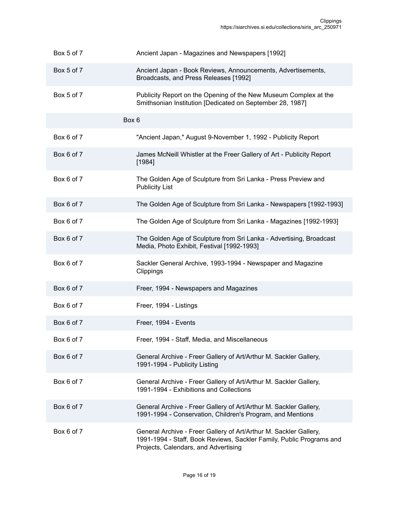| Box 5 of 7 | Ancient Japan - Magazines and Newspapers [1992]                                                                                                                                   |
|------------|-----------------------------------------------------------------------------------------------------------------------------------------------------------------------------------|
| Box 5 of 7 | Ancient Japan - Book Reviews, Announcements, Advertisements,<br>Broadcasts, and Press Releases [1992]                                                                             |
| Box 5 of 7 | Publicity Report on the Opening of the New Museum Complex at the<br>Smithsonian Institution [Dedicated on September 28, 1987]                                                     |
|            | Box 6                                                                                                                                                                             |
| Box 6 of 7 | "Ancient Japan," August 9-November 1, 1992 - Publicity Report                                                                                                                     |
| Box 6 of 7 | James McNeill Whistler at the Freer Gallery of Art - Publicity Report<br>[1984]                                                                                                   |
| Box 6 of 7 | The Golden Age of Sculpture from Sri Lanka - Press Preview and<br><b>Publicity List</b>                                                                                           |
| Box 6 of 7 | The Golden Age of Sculpture from Sri Lanka - Newspapers [1992-1993]                                                                                                               |
| Box 6 of 7 | The Golden Age of Sculpture from Sri Lanka - Magazines [1992-1993]                                                                                                                |
| Box 6 of 7 | The Golden Age of Sculpture from Sri Lanka - Advertising, Broadcast<br>Media, Photo Exhibit, Festival [1992-1993]                                                                 |
| Box 6 of 7 | Sackler General Archive, 1993-1994 - Newspaper and Magazine<br>Clippings                                                                                                          |
| Box 6 of 7 | Freer, 1994 - Newspapers and Magazines                                                                                                                                            |
| Box 6 of 7 | Freer, 1994 - Listings                                                                                                                                                            |
| Box 6 of 7 | Freer, 1994 - Events                                                                                                                                                              |
| Box 6 of 7 | Freer, 1994 - Staff, Media, and Miscellaneous                                                                                                                                     |
| Box 6 of 7 | General Archive - Freer Gallery of Art/Arthur M. Sackler Gallery,<br>1991-1994 - Publicity Listing                                                                                |
| Box 6 of 7 | General Archive - Freer Gallery of Art/Arthur M. Sackler Gallery,<br>1991-1994 - Exhibitions and Collections                                                                      |
| Box 6 of 7 | General Archive - Freer Gallery of Art/Arthur M. Sackler Gallery,<br>1991-1994 - Conservation, Children's Program, and Mentions                                                   |
| Box 6 of 7 | General Archive - Freer Gallery of Art/Arthur M. Sackler Gallery,<br>1991-1994 - Staff, Book Reviews, Sackler Family, Public Programs and<br>Projects, Calendars, and Advertising |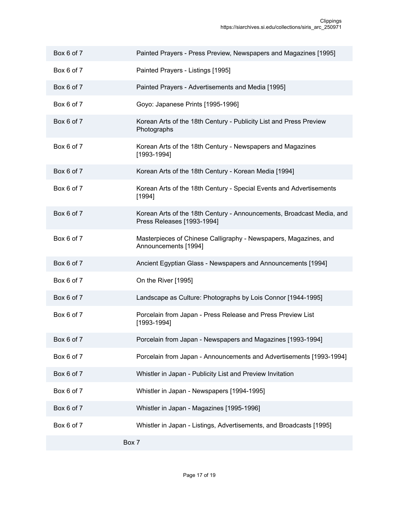| Box 6 of 7 | Painted Prayers - Press Preview, Newspapers and Magazines [1995]                                    |
|------------|-----------------------------------------------------------------------------------------------------|
| Box 6 of 7 | Painted Prayers - Listings [1995]                                                                   |
| Box 6 of 7 | Painted Prayers - Advertisements and Media [1995]                                                   |
| Box 6 of 7 | Goyo: Japanese Prints [1995-1996]                                                                   |
| Box 6 of 7 | Korean Arts of the 18th Century - Publicity List and Press Preview<br>Photographs                   |
| Box 6 of 7 | Korean Arts of the 18th Century - Newspapers and Magazines<br>$[1993 - 1994]$                       |
| Box 6 of 7 | Korean Arts of the 18th Century - Korean Media [1994]                                               |
| Box 6 of 7 | Korean Arts of the 18th Century - Special Events and Advertisements<br>[1994]                       |
| Box 6 of 7 | Korean Arts of the 18th Century - Announcements, Broadcast Media, and<br>Press Releases [1993-1994] |
| Box 6 of 7 | Masterpieces of Chinese Calligraphy - Newspapers, Magazines, and<br>Announcements [1994]            |
| Box 6 of 7 | Ancient Egyptian Glass - Newspapers and Announcements [1994]                                        |
| Box 6 of 7 | On the River [1995]                                                                                 |
| Box 6 of 7 | Landscape as Culture: Photographs by Lois Connor [1944-1995]                                        |
| Box 6 of 7 | Porcelain from Japan - Press Release and Press Preview List<br>[1993-1994]                          |
| Box 6 of 7 | Porcelain from Japan - Newspapers and Magazines [1993-1994]                                         |
| Box 6 of 7 | Porcelain from Japan - Announcements and Advertisements [1993-1994]                                 |
| Box 6 of 7 | Whistler in Japan - Publicity List and Preview Invitation                                           |
| Box 6 of 7 | Whistler in Japan - Newspapers [1994-1995]                                                          |
| Box 6 of 7 | Whistler in Japan - Magazines [1995-1996]                                                           |
| Box 6 of 7 | Whistler in Japan - Listings, Advertisements, and Broadcasts [1995]                                 |
|            | Box 7                                                                                               |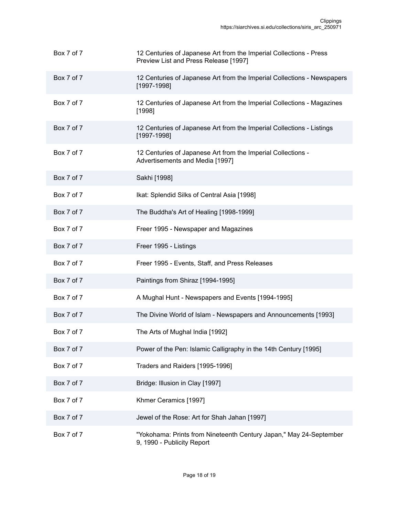| Box 7 of 7 | 12 Centuries of Japanese Art from the Imperial Collections - Press<br>Preview List and Press Release [1997] |
|------------|-------------------------------------------------------------------------------------------------------------|
| Box 7 of 7 | 12 Centuries of Japanese Art from the Imperial Collections - Newspapers<br>[1997-1998]                      |
| Box 7 of 7 | 12 Centuries of Japanese Art from the Imperial Collections - Magazines<br>[1998]                            |
| Box 7 of 7 | 12 Centuries of Japanese Art from the Imperial Collections - Listings<br>$[1997 - 1998]$                    |
| Box 7 of 7 | 12 Centuries of Japanese Art from the Imperial Collections -<br>Advertisements and Media [1997]             |
| Box 7 of 7 | Sakhi [1998]                                                                                                |
| Box 7 of 7 | Ikat: Splendid Silks of Central Asia [1998]                                                                 |
| Box 7 of 7 | The Buddha's Art of Healing [1998-1999]                                                                     |
| Box 7 of 7 | Freer 1995 - Newspaper and Magazines                                                                        |
| Box 7 of 7 | Freer 1995 - Listings                                                                                       |
| Box 7 of 7 | Freer 1995 - Events, Staff, and Press Releases                                                              |
| Box 7 of 7 | Paintings from Shiraz [1994-1995]                                                                           |
| Box 7 of 7 | A Mughal Hunt - Newspapers and Events [1994-1995]                                                           |
| Box 7 of 7 | The Divine World of Islam - Newspapers and Announcements [1993]                                             |
| Box 7 of 7 | The Arts of Mughal India [1992]                                                                             |
| Box 7 of 7 | Power of the Pen: Islamic Calligraphy in the 14th Century [1995]                                            |
| Box 7 of 7 | Traders and Raiders [1995-1996]                                                                             |
| Box 7 of 7 | Bridge: Illusion in Clay [1997]                                                                             |
| Box 7 of 7 | Khmer Ceramics [1997]                                                                                       |
| Box 7 of 7 | Jewel of the Rose: Art for Shah Jahan [1997]                                                                |
| Box 7 of 7 | "Yokohama: Prints from Nineteenth Century Japan," May 24-September<br>9, 1990 - Publicity Report            |